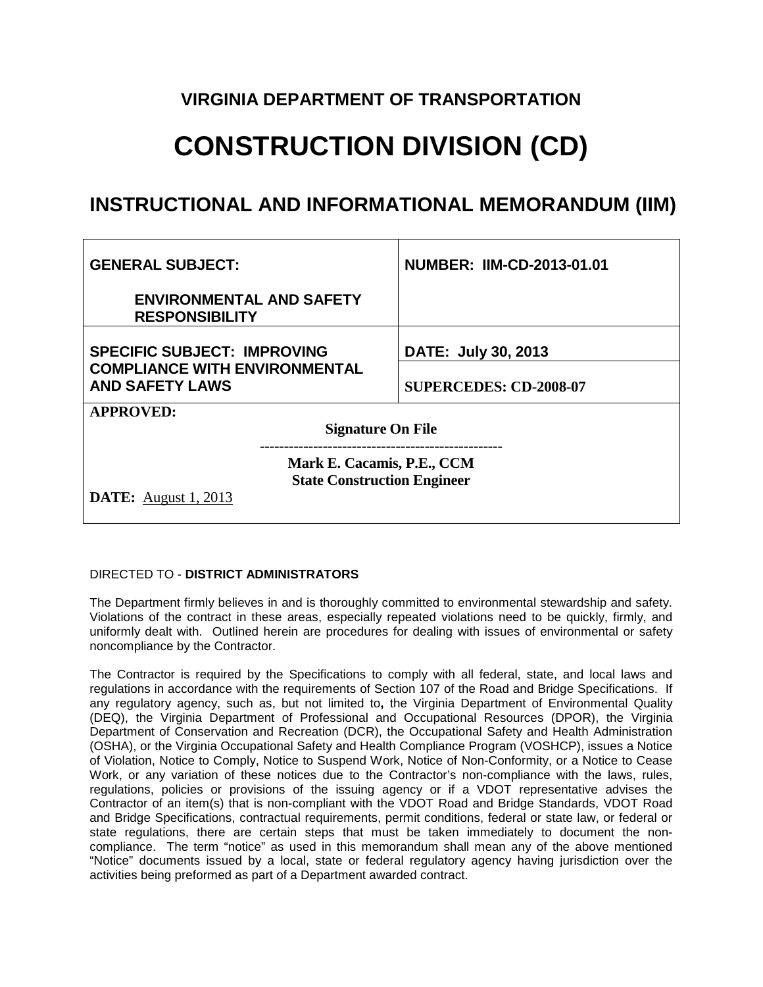### **VIRGINIA DEPARTMENT OF TRANSPORTATION**

# **CONSTRUCTION DIVISION (CD)**

## **INSTRUCTIONAL AND INFORMATIONAL MEMORANDUM (IIM)**

| <b>GENERAL SUBJECT:</b>                                                                         | <b>NUMBER: IIM-CD-2013-01.01</b> |
|-------------------------------------------------------------------------------------------------|----------------------------------|
| <b>ENVIRONMENTAL AND SAFETY</b><br><b>RESPONSIBILITY</b>                                        |                                  |
| <b>SPECIFIC SUBJECT: IMPROVING</b>                                                              | DATE: July 30, 2013              |
| <b>COMPLIANCE WITH ENVIRONMENTAL</b><br><b>AND SAFETY LAWS</b>                                  | <b>SUPERCEDES: CD-2008-07</b>    |
| <b>APPROVED:</b>                                                                                |                                  |
| <b>Signature On File</b>                                                                        |                                  |
| Mark E. Cacamis, P.E., CCM<br><b>State Construction Engineer</b><br><b>DATE:</b> August 1, 2013 |                                  |

#### DIRECTED TO - **DISTRICT ADMINISTRATORS**

The Department firmly believes in and is thoroughly committed to environmental stewardship and safety. Violations of the contract in these areas, especially repeated violations need to be quickly, firmly, and uniformly dealt with. Outlined herein are procedures for dealing with issues of environmental or safety noncompliance by the Contractor.

The Contractor is required by the Specifications to comply with all federal, state, and local laws and regulations in accordance with the requirements of Section 107 of the Road and Bridge Specifications. If any regulatory agency, such as, but not limited to**,** the Virginia Department of Environmental Quality (DEQ), the Virginia Department of Professional and Occupational Resources (DPOR), the Virginia Department of Conservation and Recreation (DCR), the Occupational Safety and Health Administration (OSHA), or the Virginia Occupational Safety and Health Compliance Program (VOSHCP), issues a Notice of Violation, Notice to Comply, Notice to Suspend Work, Notice of Non-Conformity, or a Notice to Cease Work, or any variation of these notices due to the Contractor's non-compliance with the laws, rules, regulations, policies or provisions of the issuing agency or if a VDOT representative advises the Contractor of an item(s) that is non-compliant with the VDOT Road and Bridge Standards, VDOT Road and Bridge Specifications, contractual requirements, permit conditions, federal or state law, or federal or state regulations, there are certain steps that must be taken immediately to document the noncompliance. The term "notice" as used in this memorandum shall mean any of the above mentioned "Notice" documents issued by a local, state or federal regulatory agency having jurisdiction over the activities being preformed as part of a Department awarded contract.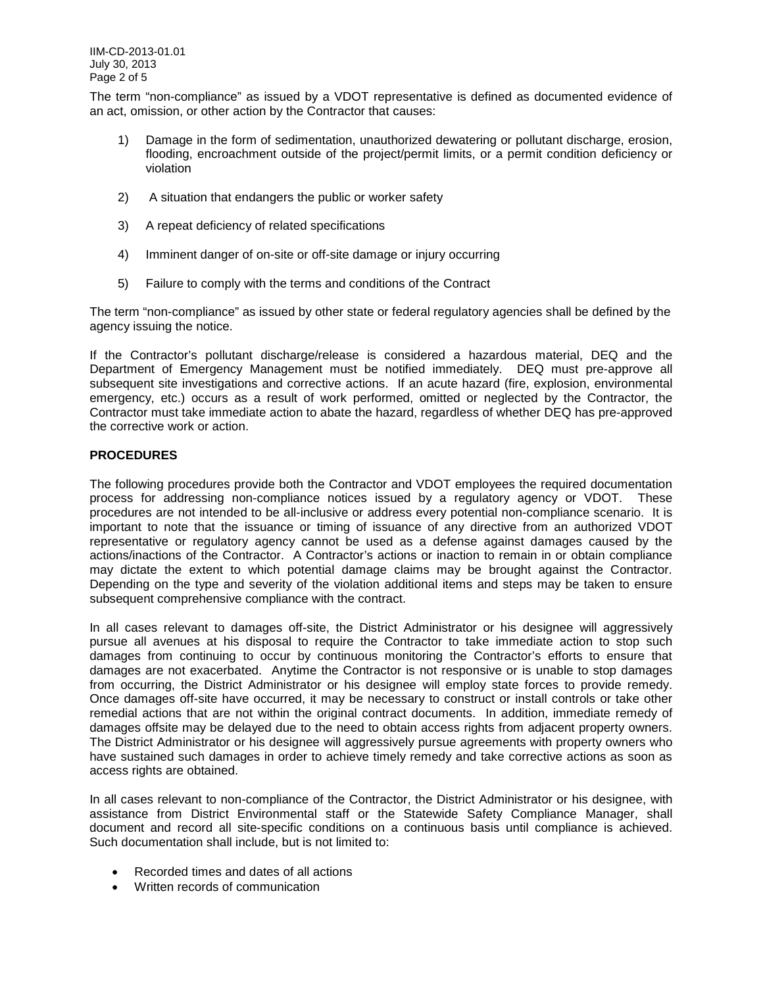The term "non-compliance" as issued by a VDOT representative is defined as documented evidence of an act, omission, or other action by the Contractor that causes:

- 1) Damage in the form of sedimentation, unauthorized dewatering or pollutant discharge, erosion, flooding, encroachment outside of the project/permit limits, or a permit condition deficiency or violation
- 2) A situation that endangers the public or worker safety
- 3) A repeat deficiency of related specifications
- 4) Imminent danger of on-site or off-site damage or injury occurring
- 5) Failure to comply with the terms and conditions of the Contract

The term "non-compliance" as issued by other state or federal regulatory agencies shall be defined by the agency issuing the notice.

If the Contractor's pollutant discharge/release is considered a hazardous material, DEQ and the Department of Emergency Management must be notified immediately. DEQ must pre-approve all subsequent site investigations and corrective actions. If an acute hazard (fire, explosion, environmental emergency, etc.) occurs as a result of work performed, omitted or neglected by the Contractor, the Contractor must take immediate action to abate the hazard, regardless of whether DEQ has pre-approved the corrective work or action.

#### **PROCEDURES**

The following procedures provide both the Contractor and VDOT employees the required documentation process for addressing non-compliance notices issued by a regulatory agency or VDOT. These procedures are not intended to be all-inclusive or address every potential non-compliance scenario. It is important to note that the issuance or timing of issuance of any directive from an authorized VDOT representative or regulatory agency cannot be used as a defense against damages caused by the actions/inactions of the Contractor. A Contractor's actions or inaction to remain in or obtain compliance may dictate the extent to which potential damage claims may be brought against the Contractor. Depending on the type and severity of the violation additional items and steps may be taken to ensure subsequent comprehensive compliance with the contract.

In all cases relevant to damages off-site, the District Administrator or his designee will aggressively pursue all avenues at his disposal to require the Contractor to take immediate action to stop such damages from continuing to occur by continuous monitoring the Contractor's efforts to ensure that damages are not exacerbated. Anytime the Contractor is not responsive or is unable to stop damages from occurring, the District Administrator or his designee will employ state forces to provide remedy. Once damages off-site have occurred, it may be necessary to construct or install controls or take other remedial actions that are not within the original contract documents. In addition, immediate remedy of damages offsite may be delayed due to the need to obtain access rights from adjacent property owners. The District Administrator or his designee will aggressively pursue agreements with property owners who have sustained such damages in order to achieve timely remedy and take corrective actions as soon as access rights are obtained.

In all cases relevant to non-compliance of the Contractor, the District Administrator or his designee, with assistance from District Environmental staff or the Statewide Safety Compliance Manager, shall document and record all site-specific conditions on a continuous basis until compliance is achieved. Such documentation shall include, but is not limited to:

- Recorded times and dates of all actions
- Written records of communication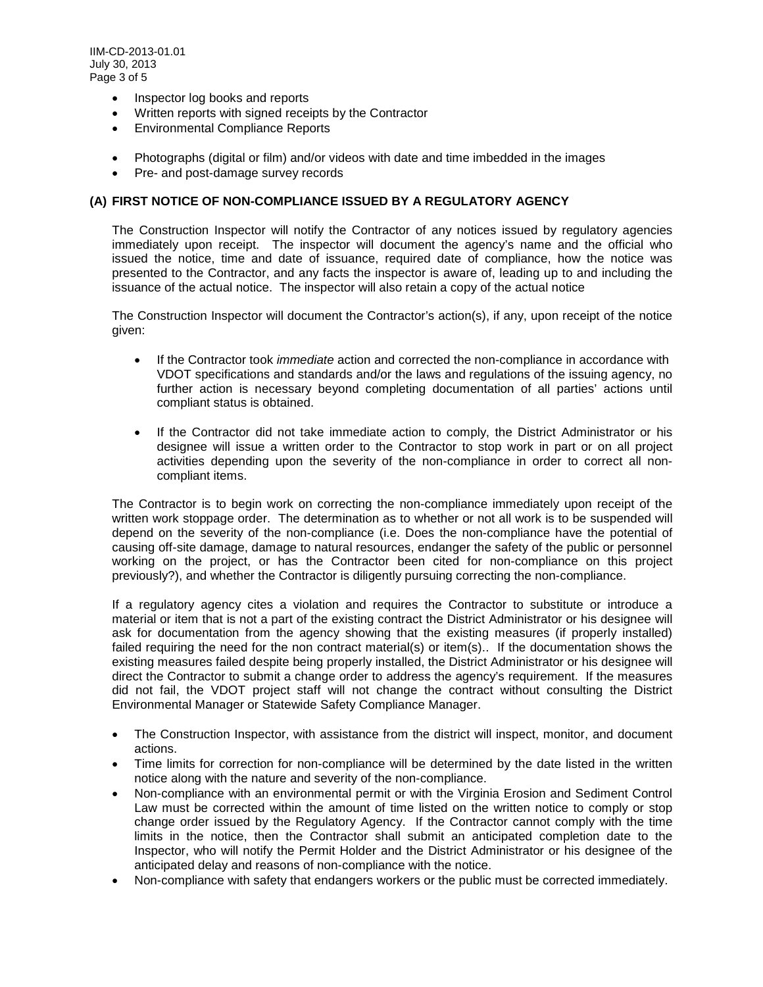- Inspector log books and reports
- Written reports with signed receipts by the Contractor
- Environmental Compliance Reports
- Photographs (digital or film) and/or videos with date and time imbedded in the images
- Pre- and post-damage survey records

#### **(A) FIRST NOTICE OF NON-COMPLIANCE ISSUED BY A REGULATORY AGENCY**

The Construction Inspector will notify the Contractor of any notices issued by regulatory agencies immediately upon receipt. The inspector will document the agency's name and the official who issued the notice, time and date of issuance, required date of compliance, how the notice was presented to the Contractor, and any facts the inspector is aware of, leading up to and including the issuance of the actual notice. The inspector will also retain a copy of the actual notice

The Construction Inspector will document the Contractor's action(s), if any, upon receipt of the notice given:

- If the Contractor took *immediate* action and corrected the non-compliance in accordance with VDOT specifications and standards and/or the laws and regulations of the issuing agency, no further action is necessary beyond completing documentation of all parties' actions until compliant status is obtained.
- If the Contractor did not take immediate action to comply, the District Administrator or his designee will issue a written order to the Contractor to stop work in part or on all project activities depending upon the severity of the non-compliance in order to correct all noncompliant items.

The Contractor is to begin work on correcting the non-compliance immediately upon receipt of the written work stoppage order. The determination as to whether or not all work is to be suspended will depend on the severity of the non-compliance (i.e. Does the non-compliance have the potential of causing off-site damage, damage to natural resources, endanger the safety of the public or personnel working on the project, or has the Contractor been cited for non-compliance on this project previously?), and whether the Contractor is diligently pursuing correcting the non-compliance.

If a regulatory agency cites a violation and requires the Contractor to substitute or introduce a material or item that is not a part of the existing contract the District Administrator or his designee will ask for documentation from the agency showing that the existing measures (if properly installed) failed requiring the need for the non contract material(s) or item(s).. If the documentation shows the existing measures failed despite being properly installed, the District Administrator or his designee will direct the Contractor to submit a change order to address the agency's requirement. If the measures did not fail, the VDOT project staff will not change the contract without consulting the District Environmental Manager or Statewide Safety Compliance Manager.

- The Construction Inspector, with assistance from the district will inspect, monitor, and document actions.
- Time limits for correction for non-compliance will be determined by the date listed in the written notice along with the nature and severity of the non-compliance.
- Non-compliance with an environmental permit or with the Virginia Erosion and Sediment Control Law must be corrected within the amount of time listed on the written notice to comply or stop change order issued by the Regulatory Agency. If the Contractor cannot comply with the time limits in the notice, then the Contractor shall submit an anticipated completion date to the Inspector, who will notify the Permit Holder and the District Administrator or his designee of the anticipated delay and reasons of non-compliance with the notice.
- Non-compliance with safety that endangers workers or the public must be corrected immediately.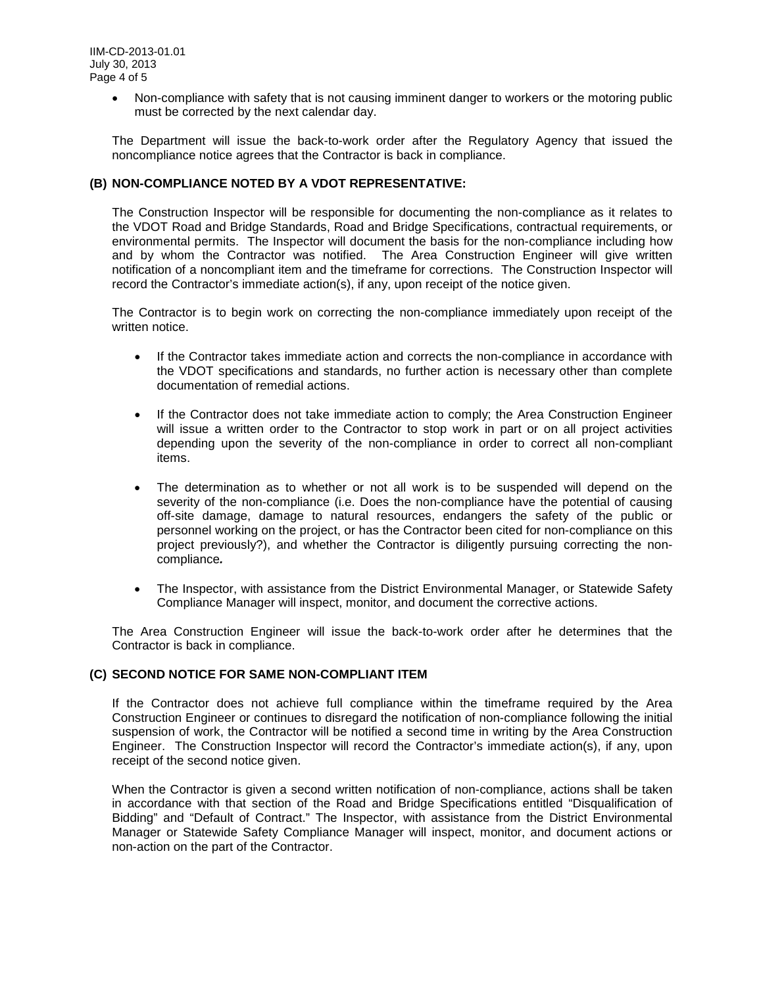• Non-compliance with safety that is not causing imminent danger to workers or the motoring public must be corrected by the next calendar day.

The Department will issue the back-to-work order after the Regulatory Agency that issued the noncompliance notice agrees that the Contractor is back in compliance.

#### **(B) NON-COMPLIANCE NOTED BY A VDOT REPRESENTATIVE:**

The Construction Inspector will be responsible for documenting the non-compliance as it relates to the VDOT Road and Bridge Standards, Road and Bridge Specifications, contractual requirements, or environmental permits. The Inspector will document the basis for the non-compliance including how and by whom the Contractor was notified. The Area Construction Engineer will give written notification of a noncompliant item and the timeframe for corrections. The Construction Inspector will record the Contractor's immediate action(s), if any, upon receipt of the notice given.

The Contractor is to begin work on correcting the non-compliance immediately upon receipt of the written notice.

- If the Contractor takes immediate action and corrects the non-compliance in accordance with the VDOT specifications and standards, no further action is necessary other than complete documentation of remedial actions.
- If the Contractor does not take immediate action to comply; the Area Construction Engineer will issue a written order to the Contractor to stop work in part or on all project activities depending upon the severity of the non-compliance in order to correct all non-compliant items.
- The determination as to whether or not all work is to be suspended will depend on the severity of the non-compliance (i.e. Does the non-compliance have the potential of causing off-site damage, damage to natural resources, endangers the safety of the public or personnel working on the project, or has the Contractor been cited for non-compliance on this project previously?), and whether the Contractor is diligently pursuing correcting the noncompliance*.*
- The Inspector, with assistance from the District Environmental Manager, or Statewide Safety Compliance Manager will inspect, monitor, and document the corrective actions.

The Area Construction Engineer will issue the back-to-work order after he determines that the Contractor is back in compliance.

#### **(C) SECOND NOTICE FOR SAME NON-COMPLIANT ITEM**

If the Contractor does not achieve full compliance within the timeframe required by the Area Construction Engineer or continues to disregard the notification of non-compliance following the initial suspension of work, the Contractor will be notified a second time in writing by the Area Construction Engineer. The Construction Inspector will record the Contractor's immediate action(s), if any, upon receipt of the second notice given.

When the Contractor is given a second written notification of non-compliance, actions shall be taken in accordance with that section of the Road and Bridge Specifications entitled "Disqualification of Bidding" and "Default of Contract." The Inspector, with assistance from the District Environmental Manager or Statewide Safety Compliance Manager will inspect, monitor, and document actions or non-action on the part of the Contractor.